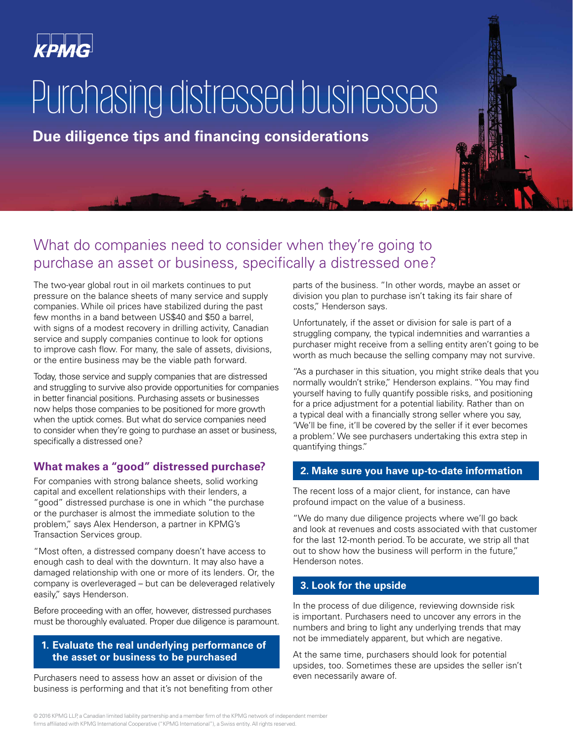

# Purchasing distressed businesses

**Due diligence tips and financing considerations**

### What do companies need to consider when they're going to purchase an asset or business, specifically a distressed one?

The two-year global rout in oil markets continues to put pressure on the balance sheets of many service and supply companies. While oil prices have stabilized during the past few months in a band between US\$40 and \$50 a barrel, with signs of a modest recovery in drilling activity, Canadian service and supply companies continue to look for options to improve cash flow. For many, the sale of assets, divisions, or the entire business may be the viable path forward.

Today, those service and supply companies that are distressed and struggling to survive also provide opportunities for companies in better financial positions. Purchasing assets or businesses now helps those companies to be positioned for more growth when the uptick comes. But what do service companies need to consider when they're going to purchase an asset or business, specifically a distressed one?

#### **What makes a "good" distressed purchase?**

For companies with strong balance sheets, solid working capital and excellent relationships with their lenders, a "good" distressed purchase is one in which "the purchase or the purchaser is almost the immediate solution to the problem," says Alex Henderson, a partner in KPMG's Transaction Services group.

"Most often, a distressed company doesn't have access to enough cash to deal with the downturn. It may also have a damaged relationship with one or more of its lenders. Or, the company is overleveraged – but can be deleveraged relatively easily," says Henderson.

Before proceeding with an offer, however, distressed purchases must be thoroughly evaluated. Proper due diligence is paramount.

#### **1. Evaluate the real underlying performance of the asset or business to be purchased**

Purchasers need to assess how an asset or division of the business is performing and that it's not benefiting from other parts of the business. "In other words, maybe an asset or division you plan to purchase isn't taking its fair share of costs," Henderson says.

Unfortunately, if the asset or division for sale is part of a struggling company, the typical indemnities and warranties a purchaser might receive from a selling entity aren't going to be worth as much because the selling company may not survive.

"As a purchaser in this situation, you might strike deals that you normally wouldn't strike," Henderson explains. "You may find yourself having to fully quantify possible risks, and positioning for a price adjustment for a potential liability. Rather than on a typical deal with a financially strong seller where you say, 'We'll be fine, it'll be covered by the seller if it ever becomes a problem.' We see purchasers undertaking this extra step in quantifying things."

#### **2. Make sure you have up-to-date information**

The recent loss of a major client, for instance, can have profound impact on the value of a business.

"We do many due diligence projects where we'll go back and look at revenues and costs associated with that customer for the last 12-month period. To be accurate, we strip all that out to show how the business will perform in the future," Henderson notes.

#### **3. Look for the upside**

In the process of due diligence, reviewing downside risk is important. Purchasers need to uncover any errors in the numbers and bring to light any underlying trends that may not be immediately apparent, but which are negative.

At the same time, purchasers should look for potential upsides, too. Sometimes these are upsides the seller isn't even necessarily aware of.